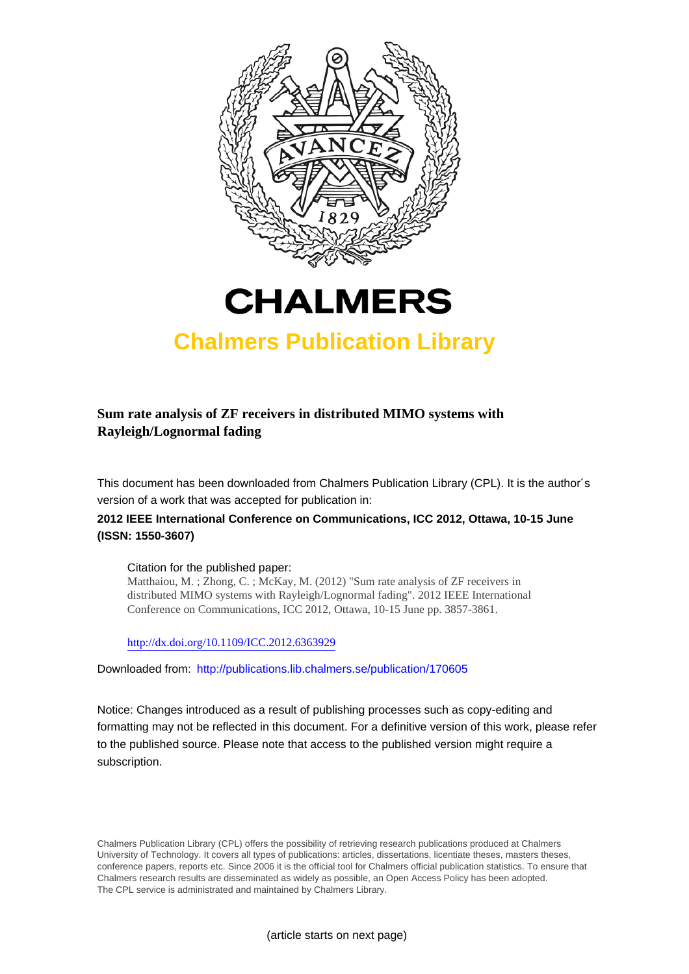



## **Chalmers Publication Library**

## **Sum rate analysis of ZF receivers in distributed MIMO systems with Rayleigh/Lognormal fading**

This document has been downloaded from Chalmers Publication Library (CPL). It is the author´s version of a work that was accepted for publication in:

### **2012 IEEE International Conference on Communications, ICC 2012, Ottawa, 10-15 June (ISSN: 1550-3607)**

#### Citation for the published paper:

Matthaiou, M. ; Zhong, C. ; McKay, M. (2012) "Sum rate analysis of ZF receivers in distributed MIMO systems with Rayleigh/Lognormal fading". 2012 IEEE International Conference on Communications, ICC 2012, Ottawa, 10-15 June pp. 3857-3861.

<http://dx.doi.org/10.1109/ICC.2012.6363929>

Downloaded from: <http://publications.lib.chalmers.se/publication/170605>

Notice: Changes introduced as a result of publishing processes such as copy-editing and formatting may not be reflected in this document. For a definitive version of this work, please refer to the published source. Please note that access to the published version might require a subscription.

Chalmers Publication Library (CPL) offers the possibility of retrieving research publications produced at Chalmers University of Technology. It covers all types of publications: articles, dissertations, licentiate theses, masters theses, conference papers, reports etc. Since 2006 it is the official tool for Chalmers official publication statistics. To ensure that Chalmers research results are disseminated as widely as possible, an Open Access Policy has been adopted. The CPL service is administrated and maintained by Chalmers Library.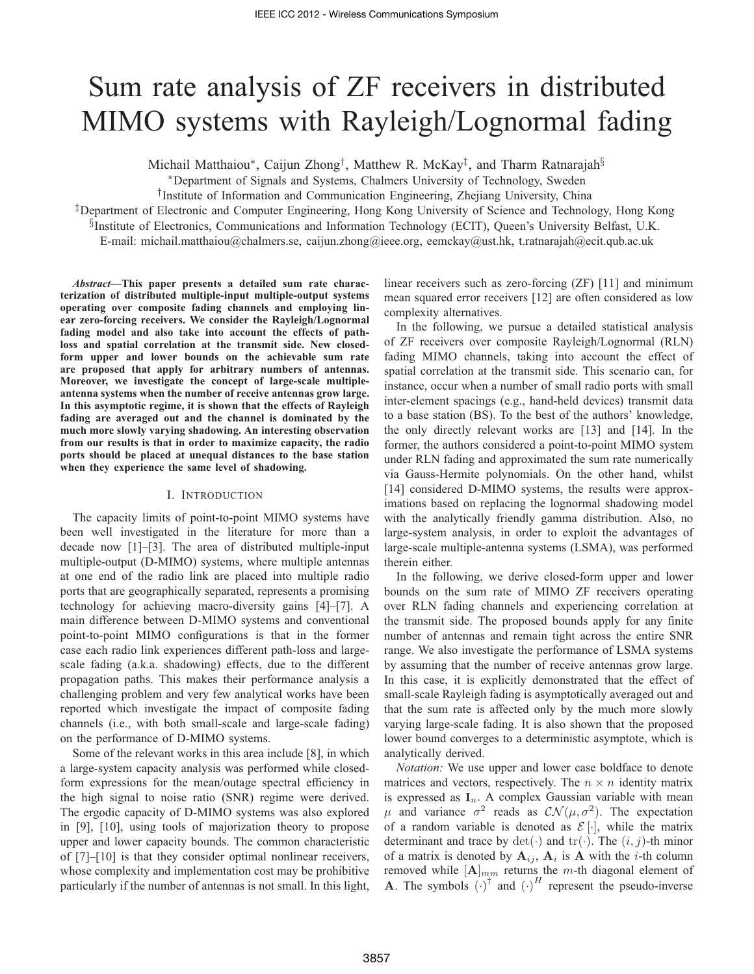# Sum rate analysis of ZF receivers in distributed MIMO systems with Rayleigh/Lognormal fading

Michail Matthaiou<sup>∗</sup>, Caijun Zhong<sup>†</sup>, Matthew R. McKay<sup>‡</sup>, and Tharm Ratnarajah<sup>§</sup>

<sup>∗</sup>Department of Signals and Systems, Chalmers University of Technology, Sweden

†Institute of Information and Communication Engineering, Zhejiang University, China

‡Department of Electronic and Computer Engineering, Hong Kong University of Science and Technology, Hong Kong

§Institute of Electronics, Communications and Information Technology (ECIT), Queen's University Belfast, U.K.

E-mail: michail.matthaiou@chalmers.se, caijun.zhong@ieee.org, eemckay@ust.hk, t.ratnarajah@ecit.qub.ac.uk

*Abstract***—This paper presents a detailed sum rate characterization of distributed multiple-input multiple-output systems operating over composite fading channels and employing linear zero-forcing receivers. We consider the Rayleigh/Lognormal fading model and also take into account the effects of pathloss and spatial correlation at the transmit side. New closedform upper and lower bounds on the achievable sum rate are proposed that apply for arbitrary numbers of antennas. Moreover, we investigate the concept of large-scale multipleantenna systems when the number of receive antennas grow large. In this asymptotic regime, it is shown that the effects of Rayleigh fading are averaged out and the channel is dominated by the much more slowly varying shadowing. An interesting observation from our results is that in order to maximize capacity, the radio ports should be placed at unequal distances to the base station when they experience the same level of shadowing.**

#### I. INTRODUCTION

The capacity limits of point-to-point MIMO systems have been well investigated in the literature for more than a decade now [1]–[3]. The area of distributed multiple-input multiple-output (D-MIMO) systems, where multiple antennas at one end of the radio link are placed into multiple radio ports that are geographically separated, represents a promising technology for achieving macro-diversity gains [4]–[7]. A main difference between D-MIMO systems and conventional point-to-point MIMO configurations is that in the former case each radio link experiences different path-loss and largescale fading (a.k.a. shadowing) effects, due to the different propagation paths. This makes their performance analysis a challenging problem and very few analytical works have been reported which investigate the impact of composite fading channels (i.e., with both small-scale and large-scale fading) on the performance of D-MIMO systems.

Some of the relevant works in this area include [8], in which a large-system capacity analysis was performed while closedform expressions for the mean/outage spectral efficiency in the high signal to noise ratio (SNR) regime were derived. The ergodic capacity of D-MIMO systems was also explored in [9], [10], using tools of majorization theory to propose upper and lower capacity bounds. The common characteristic of [7]–[10] is that they consider optimal nonlinear receivers, whose complexity and implementation cost may be prohibitive particularly if the number of antennas is not small. In this light, linear receivers such as zero-forcing (ZF) [11] and minimum mean squared error receivers [12] are often considered as low complexity alternatives.

In the following, we pursue a detailed statistical analysis of ZF receivers over composite Rayleigh/Lognormal (RLN) fading MIMO channels, taking into account the effect of spatial correlation at the transmit side. This scenario can, for instance, occur when a number of small radio ports with small inter-element spacings (e.g., hand-held devices) transmit data to a base station (BS). To the best of the authors' knowledge, the only directly relevant works are [13] and [14]. In the former, the authors considered a point-to-point MIMO system under RLN fading and approximated the sum rate numerically via Gauss-Hermite polynomials. On the other hand, whilst [14] considered D-MIMO systems, the results were approximations based on replacing the lognormal shadowing model with the analytically friendly gamma distribution. Also, no large-system analysis, in order to exploit the advantages of large-scale multiple-antenna systems (LSMA), was performed therein either.

In the following, we derive closed-form upper and lower bounds on the sum rate of MIMO ZF receivers operating over RLN fading channels and experiencing correlation at the transmit side. The proposed bounds apply for any finite number of antennas and remain tight across the entire SNR range. We also investigate the performance of LSMA systems by assuming that the number of receive antennas grow large. In this case, it is explicitly demonstrated that the effect of small-scale Rayleigh fading is asymptotically averaged out and that the sum rate is affected only by the much more slowly varying large-scale fading. It is also shown that the proposed lower bound converges to a deterministic asymptote, which is analytically derived.

*Notation:* We use upper and lower case boldface to denote matrices and vectors, respectively. The  $n \times n$  identity matrix is expressed as  $I_n$ . A complex Gaussian variable with mean μ and variance  $σ<sup>2</sup>$  reads as  $CN(μ, σ<sup>2</sup>)$ . The expectation of a random variable is denoted as  $\mathcal{E}[\cdot]$ , while the matrix determinant and trace by  $\det(\cdot)$  and  $\text{tr}(\cdot)$ . The  $(i, j)$ -th minor of a matrix is denoted by  $A_{ij}$ ,  $A_i$  is A with the *i*-th column removed while  $[\mathbf{A}]_{mm}$  returns the m-th diagonal element of **A**. The symbols  $(\cdot)^{\dagger}$  and  $(\cdot)^{H}$  represent the pseudo-inverse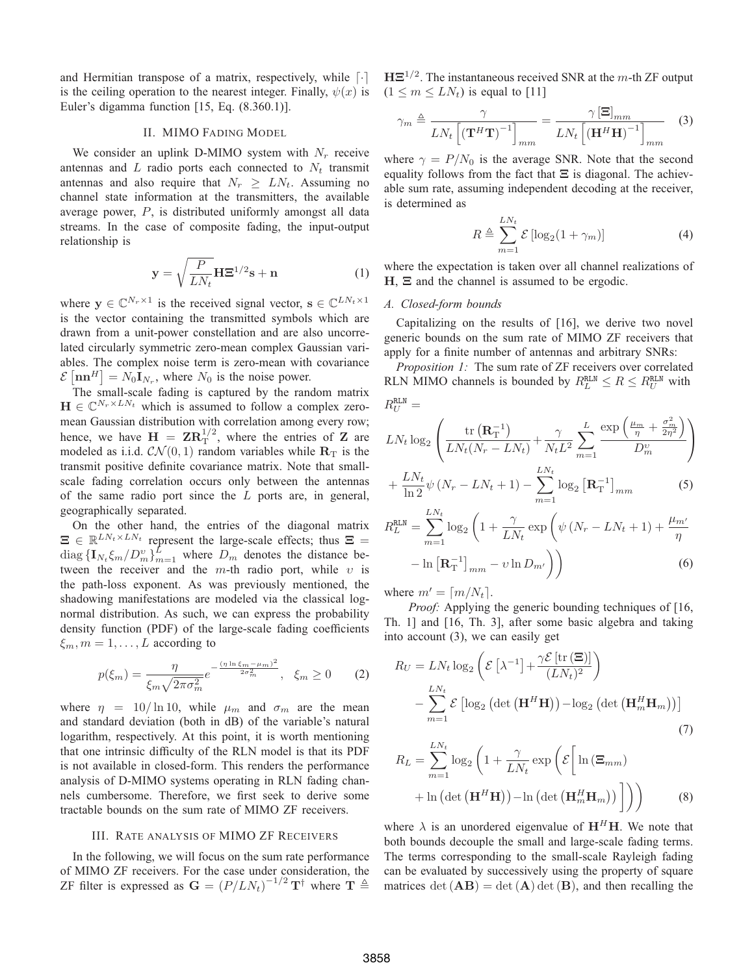and Hermitian transpose of a matrix, respectively, while  $\lceil \cdot \rceil$ is the ceiling operation to the nearest integer. Finally,  $\psi(x)$  is Euler's digamma function [15, Eq. (8.360.1)].

#### II. MIMO FADING MODEL

We consider an uplink D-MIMO system with  $N_r$  receive antennas and  $L$  radio ports each connected to  $N_t$  transmit antennas and also require that  $N_r \geq LN_t$ . Assuming no channel state information at the transmitters, the available average power, P, is distributed uniformly amongst all data streams. In the case of composite fading, the input-output relationship is

$$
\mathbf{y} = \sqrt{\frac{P}{LN_t}} \mathbf{H} \mathbf{\Xi}^{1/2} \mathbf{s} + \mathbf{n}
$$
 (1)

where  $y \in \mathbb{C}^{N_r \times 1}$  is the received signal vector,  $\mathbf{s} \in \mathbb{C}^{LN_t \times 1}$ is the vector containing the transmitted symbols which are drawn from a unit-power constellation and are also uncorrelated circularly symmetric zero-mean complex Gaussian variables. The complex noise term is zero-mean with covariance  $\mathcal{E}\left[\mathbf{n}\mathbf{n}^H\right] = N_0 \mathbf{I}_{N_r}$ , where  $N_0$  is the noise power.

The small-scale fading is captured by the random matrix  $\mathbf{H} \in \mathbb{C}^{N_r \times LN_t}$  which is assumed to follow a complex zeromean Gaussian distribution with correlation among every row; hence, we have  $\mathbf{H} = \mathbf{Z} \mathbf{R}_{\mathrm{T}}^{1/2}$ , where the entries of **Z** are modeled as i.i.d.  $CN(0, 1)$  random variables while  $\mathbf{R}_{\text{T}}$  is the transmit positive definite covariance matrix. Note that smallscale fading correlation occurs only between the antennas of the same radio port since the  $L$  ports are, in general, geographically separated.

On the other hand, the entries of the diagonal matrix  $\Xi \in \mathbb{R}^{LN_t \times LN_t}$  represent the large-scale effects; thus  $\Xi =$  $\text{diag} \left\{ \mathbf{I}_{N_t} \xi_m / D_m^v \right\}_{m=1}^L$  where  $D_m$  denotes the distance between the receiver and the m-th radio port, while  $v$  is the path-loss exponent. As was previously mentioned, the shadowing manifestations are modeled via the classical lognormal distribution. As such, we can express the probability density function (PDF) of the large-scale fading coefficients  $\xi_m, m = 1, \ldots, L$  according to

$$
p(\xi_m) = \frac{\eta}{\xi_m \sqrt{2\pi \sigma_m^2}} e^{-\frac{(\eta \ln \xi_m - \mu_m)^2}{2\sigma_m^2}}, \quad \xi_m \ge 0 \tag{2}
$$

where  $\eta = 10/\ln 10$ , while  $\mu_m$  and  $\sigma_m$  are the mean and standard deviation (both in dB) of the variable's natural logarithm, respectively. At this point, it is worth mentioning that one intrinsic difficulty of the RLN model is that its PDF is not available in closed-form. This renders the performance analysis of D-MIMO systems operating in RLN fading channels cumbersome. Therefore, we first seek to derive some tractable bounds on the sum rate of MIMO ZF receivers.

#### III. RATE ANALYSIS OF MIMO ZF RECEIVERS

In the following, we will focus on the sum rate performance of MIMO ZF receivers. For the case under consideration, the ZF filter is expressed as  $G = (P/LN_t)^{-1/2}T^{\dagger}$  where  $T \triangleq$ 

**HΞ**<sup>1</sup>/2. The instantaneous received SNR at the m-th ZF output  $(1 \leq m \leq LN_t)$  is equal to [11]

$$
\gamma_m \triangleq \frac{\gamma}{LN_t \left[ \left( \mathbf{T}^H \mathbf{T} \right)^{-1} \right]_{mm}} = \frac{\gamma \left[ \mathbf{E} \right]_{mm}}{LN_t \left[ \left( \mathbf{H}^H \mathbf{H} \right)^{-1} \right]_{mm}} \tag{3}
$$

where  $\gamma = P/N_0$  is the average SNR. Note that the second equality follows from the fact that **Ξ** is diagonal. The achievable sum rate, assuming independent decoding at the receiver, is determined as

$$
R \triangleq \sum_{m=1}^{LN_t} \mathcal{E}\left[\log_2(1+\gamma_m)\right]
$$
 (4)

where the expectation is taken over all channel realizations of **H**, **Ξ** and the channel is assumed to be ergodic.

#### *A. Closed-form bounds*

Capitalizing on the results of [16], we derive two novel generic bounds on the sum rate of MIMO ZF receivers that apply for a finite number of antennas and arbitrary SNRs:

*Proposition 1:* The sum rate of ZF receivers over correlated RLN MIMO channels is bounded by  $R_L^{\text{RLN}} \le R \le R_U^{\text{RLN}}$  with  $R_U^{\text{RLN}} =$ 

$$
LN_t \log_2\left(\frac{\text{tr}\left(\mathbf{R}_T^{-1}\right)}{LN_t(N_r-LN_t)} + \frac{\gamma}{N_t L^2} \sum_{m=1}^L \frac{\exp\left(\frac{\mu_m}{\eta} + \frac{\sigma_m^2}{2\eta^2}\right)}{D_m^v}\right) + \frac{LN_t}{\ln 2} \psi\left(N_r-LN_t+1\right) - \sum_{n=1}^{LN_t} \log_2\left[\mathbf{R}_T^{-1}\right]_{mm} \tag{5}
$$

ln 2  
\n
$$
R_L^{\text{RLN}} = \sum_{k=1}^{LN_t} \log_2 \left( 1 + \frac{\gamma}{LN_t} \exp \left( \psi \left( N_r - LN_t + 1 \right) + \frac{\mu_{m'}}{R} \right) \right)
$$

$$
R_L^{\text{RLM}} = \sum_{m=1}^{\infty} \log_2 \left( 1 + \frac{1}{LN_t} \exp\left(\psi \left(N_r - LN_t + 1\right) + \frac{P_m}{\eta}\right) - \ln\left[\mathbf{R}_T^{-1}\right]_{mm} - \nu \ln D_{m'}\right) \right) \tag{6}
$$

where  $m' = \lceil m/N_t \rceil$ .

*Proof:* Applying the generic bounding techniques of [16, Th. 1] and [16, Th. 3], after some basic algebra and taking into account (3), we can easily get

$$
R_U = LN_t \log_2 \left( \mathcal{E} \left[ \lambda^{-1} \right] + \frac{\gamma \mathcal{E} \left[ \text{tr} \left( \Xi \right) \right]}{(LN_t)^2} \right) - \sum_{m=1}^{LN_t} \mathcal{E} \left[ \log_2 \left( \det \left( \mathbf{H}^H \mathbf{H} \right) \right) - \log_2 \left( \det \left( \mathbf{H}_m^H \mathbf{H}_m \right) \right) \right]
$$
(7)

$$
R_L = \sum_{m=1}^{LN_t} \log_2 \left( 1 + \frac{\gamma}{LN_t} \exp\left( \mathcal{E} \left[ \ln \left( \mathbf{\Xi}_{mm} \right) \right. \right. \right) + \ln \left( \det \left( \mathbf{H}^H \mathbf{H} \right) \right) - \ln \left( \det \left( \mathbf{H}^H \mathbf{H} \mathbf{m} \right) \right) \right) \right) \tag{8}
$$

where  $\lambda$  is an unordered eigenvalue of  $\mathbf{H}^H\mathbf{H}$ . We note that both bounds decouple the small and large-scale fading terms. The terms corresponding to the small-scale Rayleigh fading can be evaluated by successively using the property of square matrices det  $(AB) = det(A) det(B)$ , and then recalling the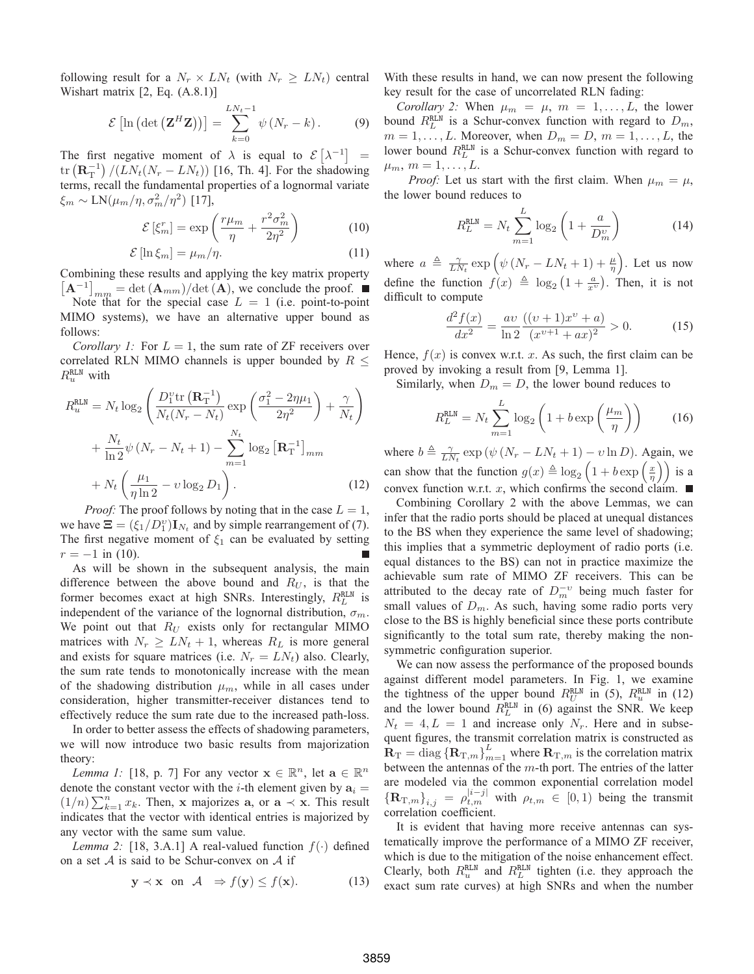following result for a  $N_r \times LN_t$  (with  $N_r \geq LN_t$ ) central Wishart matrix [2, Eq. (A.8.1)]

$$
\mathcal{E}\left[\ln\left(\det\left(\mathbf{Z}^H\mathbf{Z}\right)\right)\right] = \sum_{k=0}^{LN_t-1} \psi\left(N_r - k\right). \tag{9}
$$

The first negative moment of  $\lambda$  is equal to  $\mathcal{E}[\lambda^{-1}] =$  $\text{tr}\left(\mathbf{R}_{\text{T}}^{-1}\right) / (LN_t(N_r - LN_t))$  [16, Th. 4]. For the shadowing terms, recall the fundamental properties of a lognormal variate  $\xi_m \sim \text{LN}(\mu_m/\eta, \sigma_m^2/\eta^2)$  [17],

$$
\mathcal{E}\left[\xi_m^r\right] = \exp\left(\frac{r\mu_m}{\eta} + \frac{r^2\sigma_m^2}{2\eta^2}\right) \tag{10}
$$

$$
\mathcal{E}\left[\ln \xi_m\right] = \mu_m / \eta. \tag{11}
$$

Combining these results and applying the key matrix property  $\left[\mathbf{A}^{-1}\right]_{mm} = \det\left(\mathbf{A}_{mm}\right)/\det\left(\mathbf{A}\right)$ , we conclude the proof. Note that for the special case  $L = 1$  (i.e. point-to-point MIMO systems), we have an alternative upper bound as follows:

*Corollary 1:* For  $L = 1$ , the sum rate of ZF receivers over correlated RLN MIMO channels is upper bounded by  $R \leq$  $R_u^{\text{RLN}}$  with

$$
R_u^{\text{RLN}} = N_t \log_2 \left( \frac{D_1^{\nu} \text{tr} \left( \mathbf{R}_T^{-1} \right)}{N_t (N_r - N_t)} \exp \left( \frac{\sigma_1^2 - 2\eta \mu_1}{2\eta^2} \right) + \frac{\gamma}{N_t} \right)
$$

$$
+ \frac{N_t}{\ln 2} \psi \left( N_r - N_t + 1 \right) - \sum_{m=1}^{N_t} \log_2 \left[ \mathbf{R}_T^{-1} \right]_{mm}
$$

$$
+ N_t \left( \frac{\mu_1}{\eta \ln 2} - \upsilon \log_2 D_1 \right). \tag{12}
$$

*Proof:* The proof follows by noting that in the case  $L = 1$ , we have  $\mathbf{\Xi} = (\xi_1/D_1^v)\mathbf{I}_{N_t}$  and by simple rearrangement of (7). The first negative moment of  $\xi_1$  can be evaluated by setting  $r = -1$  in (10).

As will be shown in the subsequent analysis, the main difference between the above bound and  $R_U$ , is that the former becomes exact at high SNRs. Interestingly,  $R_L^{\text{RLN}}$  is independent of the variance of the lognornal distribution,  $\sigma_m$ . We point out that  $R_U$  exists only for rectangular MIMO matrices with  $N_r \geq LN_t + 1$ , whereas  $R_L$  is more general and exists for square matrices (i.e.  $N_r = LN_t$ ) also. Clearly, the sum rate tends to monotonically increase with the mean of the shadowing distribution  $\mu_m$ , while in all cases under consideration, higher transmitter-receiver distances tend to effectively reduce the sum rate due to the increased path-loss.

In order to better assess the effects of shadowing parameters, we will now introduce two basic results from majorization theory:

*Lemma 1:* [18, p. 7] For any vector  $\mathbf{x} \in \mathbb{R}^n$ , let  $\mathbf{a} \in \mathbb{R}^n$ denote the constant vector with the *i*-th element given by  $a_i =$  $(1/n) \sum_{k=1}^{n} x_k$ . Then, **x** majorizes **a**, or **a**  $\prec$  **x**. This result indicates that the vector with identical entries is majorized by any vector with the same sum value.

*Lemma 2:* [18, 3.A.1] A real-valued function  $f(\cdot)$  defined on a set  $A$  is said to be Schur-convex on  $A$  if

$$
\mathbf{y} \prec \mathbf{x} \quad \text{on} \quad \mathcal{A} \quad \Rightarrow f(\mathbf{y}) \le f(\mathbf{x}). \tag{13}
$$

With these results in hand, we can now present the following key result for the case of uncorrelated RLN fading:

*Corollary 2:* When  $\mu_m = \mu$ ,  $m = 1, \ldots, L$ , the lower bound  $R_L^{\text{RLM}}$  is a Schur-convex function with regard to  $D_m$ ,  $m = 1, \ldots, L$ . Moreover, when  $D_m = D, m = 1, \ldots, L$ , the lower bound  $R_L^{\text{RLM}}$  is a Schur-convex function with regard to  $\mu_m, m = 1, \ldots, L.$ 

*Proof:* Let us start with the first claim. When  $\mu_m = \mu$ , the lower bound reduces to

$$
R_L^{\text{RLN}} = N_t \sum_{m=1}^{L} \log_2 \left( 1 + \frac{a}{D_m^v} \right) \tag{14}
$$

where  $a \triangleq \frac{\gamma}{LN_t} \exp \left( \psi \left( N_r - LN_t + 1 \right) + \frac{\mu}{\eta} \right)$ . Let us now define the function  $f(x) \triangleq \log_2\left(1+\frac{a}{x^{\nu}}\right)$ . Then, it is not difficult to compute

$$
\frac{d^2f(x)}{dx^2} = \frac{av}{\ln 2} \frac{((v+1)x^v + a)}{(x^{v+1} + ax)^2} > 0.
$$
 (15)

Hence,  $f(x)$  is convex w.r.t. x. As such, the first claim can be proved by invoking a result from [9, Lemma 1].

Similarly, when  $D_m = D$ , the lower bound reduces to

$$
R_L^{\text{RLN}} = N_t \sum_{m=1}^{L} \log_2 \left( 1 + b \exp\left(\frac{\mu_m}{\eta}\right) \right) \tag{16}
$$

where  $b \triangleq \frac{\gamma}{LN_t} \exp (\psi (N_r - LN_t + 1) - v \ln D)$ . Again, we can show that the function  $g(x) \triangleq \log_2 \left(1 + b \exp\left(\frac{x}{\eta}\right)\right)$  is a convex function w.r.t. x, which confirms the second claim.  $\blacksquare$ 

Combining Corollary 2 with the above Lemmas, we can infer that the radio ports should be placed at unequal distances to the BS when they experience the same level of shadowing; this implies that a symmetric deployment of radio ports (i.e. equal distances to the BS) can not in practice maximize the achievable sum rate of MIMO ZF receivers. This can be attributed to the decay rate of  $D_m^{-v}$  being much faster for small values of  $D_m$ . As such, having some radio ports very close to the BS is highly beneficial since these ports contribute significantly to the total sum rate, thereby making the nonsymmetric configuration superior.

We can now assess the performance of the proposed bounds against different model parameters. In Fig. 1, we examine the tightness of the upper bound  $R_U^{\text{RLM}}$  in (5),  $R_u^{\text{RLM}}$  in (12) and the lower bound  $R_L^{\text{RLN}}$  in (6) against the SNR. We keep  $N_t = 4, L = 1$  and increase only  $N_r$ . Here and in subsequent figures, the transmit correlation matrix is constructed as  $\mathbf{R}_{\mathrm{T}} = \text{diag} \left\{ \mathbf{R}_{\mathrm{T},m} \right\}_{m=1}^{L}$  where  $\mathbf{R}_{\mathrm{T},m}$  is the correlation matrix between the antennas of the m-th port. The entries of the latter are modeled via the common exponential correlation model  ${R_{\text{T},m}}_{i,j} = \rho_{t,m}^{|i-j|}$  with  $\rho_{t,m} \in [0,1)$  being the transmit correlation coefficient.

It is evident that having more receive antennas can systematically improve the performance of a MIMO ZF receiver, which is due to the mitigation of the noise enhancement effect. Clearly, both  $R_u^{\text{RLM}}$  and  $R_L^{\text{RLM}}$  tighten (i.e. they approach the exact sum rate curves) at high SNRs and when the number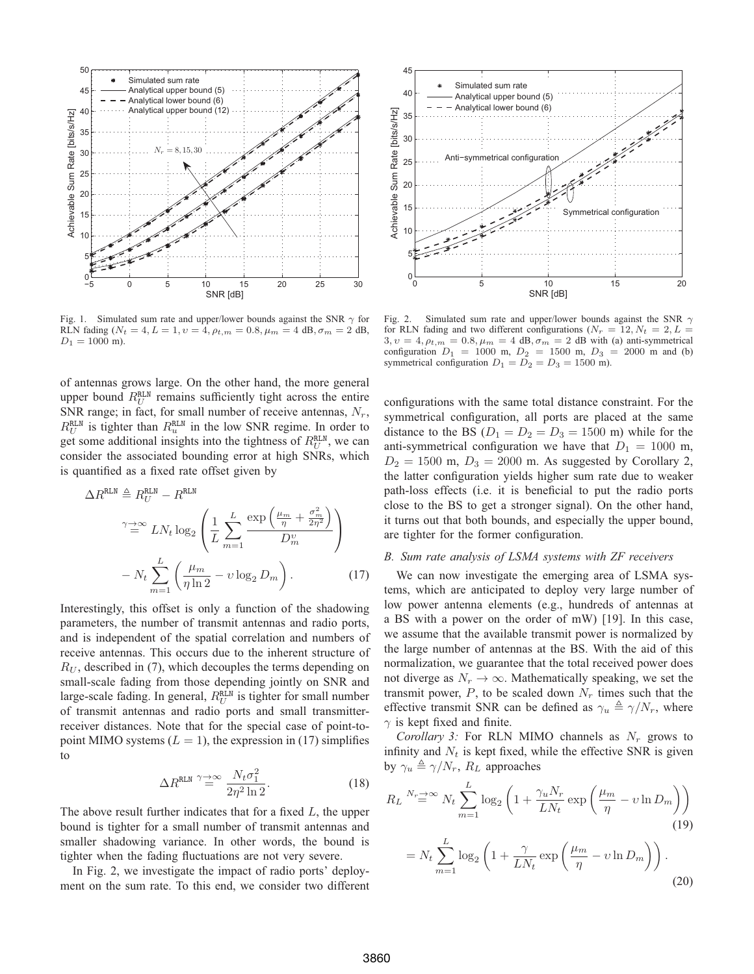

Fig. 1. Simulated sum rate and upper/lower bounds against the SNR  $\gamma$  for RLN fading ( $N_t = 4, L = 1, v = 4, \rho_{t,m} = 0.8, \mu_m = 4$  dB,  $\sigma_m = 2$  dB,  $D_1 = 1000$  m).

of antennas grows large. On the other hand, the more general upper bound  $R_U^{\text{RLM}}$  remains sufficiently tight across the entire SNR range; in fact, for small number of receive antennas,  $N_r$ ,  $R_U^{\text{RLN}}$  is tighter than  $R_u^{\text{RLN}}$  in the low SNR regime. In order to get some additional insights into the tightness of  $R_U^{\text{RLM}}$ , we can consider the associated bounding error at high SNRs, which is quantified as a fixed rate offset given by

$$
\Delta R^{\text{RLM}} \triangleq R_U^{\text{RLM}} - R^{\text{RLM}}
$$

$$
\gamma \to \infty
$$

$$
LN_t \log_2 \left( \frac{1}{L} \sum_{m=1}^{L} \frac{\exp\left(\frac{\mu_m}{\eta} + \frac{\sigma_m^2}{2\eta^2}\right)}{D_m^v} \right)
$$

$$
- N_t \sum_{m=1}^{L} \left( \frac{\mu_m}{\eta \ln 2} - \upsilon \log_2 D_m \right). \tag{17}
$$

Interestingly, this offset is only a function of the shadowing parameters, the number of transmit antennas and radio ports, and is independent of the spatial correlation and numbers of receive antennas. This occurs due to the inherent structure of  $R_U$ , described in (7), which decouples the terms depending on small-scale fading from those depending jointly on SNR and large-scale fading. In general,  $R_U^{\text{RLRN}}$  is tighter for small number of transmit antennas and radio ports and small transmitterreceiver distances. Note that for the special case of point-topoint MIMO systems  $(L = 1)$ , the expression in (17) simplifies to

$$
\Delta R^{\text{RLN}} \stackrel{\gamma \to \infty}{=} \frac{N_t \sigma_1^2}{2\eta^2 \ln 2}.
$$
 (18)

The above result further indicates that for a fixed  $L$ , the upper bound is tighter for a small number of transmit antennas and smaller shadowing variance. In other words, the bound is tighter when the fading fluctuations are not very severe.

In Fig. 2, we investigate the impact of radio ports' deployment on the sum rate. To this end, we consider two different



Fig. 2. Simulated sum rate and upper/lower bounds against the SNR  $\gamma$ for RLN fading and two different configurations ( $N_r = 12, N_t = 2, L =$  $3, v = 4, \rho_{t,m} = 0.8, \mu_m = 4$  dB,  $\sigma_m = 2$  dB with (a) anti-symmetrical configuration  $D_1 = 1000$  m,  $D_2 = 1500$  m,  $D_3 = 2000$  m and (b) symmetrical configuration  $D_1 = D_2 = D_3 = 1500$  m).

configurations with the same total distance constraint. For the symmetrical configuration, all ports are placed at the same distance to the BS  $(D_1 = D_2 = D_3 = 1500 \text{ m})$  while for the anti-symmetrical configuration we have that  $D_1 = 1000$  m,  $D_2 = 1500$  m,  $D_3 = 2000$  m. As suggested by Corollary 2, the latter configuration yields higher sum rate due to weaker path-loss effects (i.e. it is beneficial to put the radio ports close to the BS to get a stronger signal). On the other hand, it turns out that both bounds, and especially the upper bound, are tighter for the former configuration.

#### *B. Sum rate analysis of LSMA systems with ZF receivers*

We can now investigate the emerging area of LSMA systems, which are anticipated to deploy very large number of low power antenna elements (e.g., hundreds of antennas at a BS with a power on the order of mW) [19]. In this case, we assume that the available transmit power is normalized by the large number of antennas at the BS. With the aid of this normalization, we guarantee that the total received power does not diverge as  $N_r \to \infty$ . Mathematically speaking, we set the transmit power,  $P$ , to be scaled down  $N_r$  times such that the effective transmit SNR can be defined as  $\gamma_u \triangleq \gamma/N_r$ , where  $\gamma$  is kept fixed and finite.

*Corollary 3:* For RLN MIMO channels as  $N_r$  grows to infinity and  $N_t$  is kept fixed, while the effective SNR is given by  $\gamma_u \triangleq \gamma/N_r$ ,  $R_L$  approaches

$$
R_L \stackrel{N_r \to \infty}{=} N_t \sum_{m=1}^L \log_2 \left( 1 + \frac{\gamma_u N_r}{L N_t} \exp\left(\frac{\mu_m}{\eta} - v \ln D_m\right) \right)
$$
\n
$$
(19)
$$

$$
= N_t \sum_{m=1}^{L} \log_2 \left( 1 + \frac{\gamma}{LN_t} \exp\left(\frac{\mu_m}{\eta} - \upsilon \ln D_m\right) \right).
$$
\n(20)